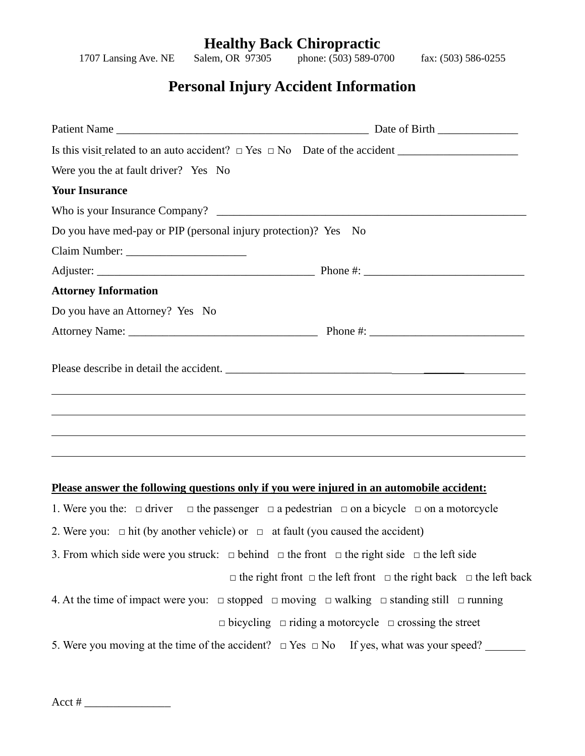## **Healthy Back Chiropractic**<br>Salem, OR 97305 phone: (503) 589-07

1707 Lansing Ave. NE Salem, OR 97305 phone: (503) 589-0700 fax: (503) 586-0255

## **Personal Injury Accident Information**

| Were you the at fault driver? Yes No                                             |  |
|----------------------------------------------------------------------------------|--|
| <b>Your Insurance</b>                                                            |  |
|                                                                                  |  |
| Do you have med-pay or PIP (personal injury protection)? Yes No                  |  |
|                                                                                  |  |
|                                                                                  |  |
| <b>Attorney Information</b>                                                      |  |
| Do you have an Attorney? Yes No                                                  |  |
|                                                                                  |  |
|                                                                                  |  |
| ,我们也不会有什么。""我们的人,我们也不会有什么?""我们的人,我们也不会有什么?""我们的人,我们也不会有什么?""我们的人,我们也不会有什么?""我们的人 |  |
|                                                                                  |  |
|                                                                                  |  |
|                                                                                  |  |

## **Please answer the following questions only if you were injured in an automobile accident:**

1. Were you the:  $\Box$  driver  $\Box$  the passenger  $\Box$  a pedestrian  $\Box$  on a bicycle  $\Box$  on a motorcycle

- 2. Were you:  $\Box$  hit (by another vehicle) or  $\Box$  at fault (you caused the accident)
- 3. From which side were you struck:  $\Box$  behind  $\Box$  the front  $\Box$  the right side  $\Box$  the left side

 $\Box$  the right front  $\Box$  the left front  $\Box$  the right back  $\Box$  the left back

- 4. At the time of impact were you:  $\Box$  stopped  $\Box$  moving  $\Box$  walking  $\Box$  standing still  $\Box$  running □ bicycling □ riding a motorcycle □ crossing the street
- 5. Were you moving at the time of the accident?  $\Box$  Yes  $\Box$  No If yes, what was your speed?